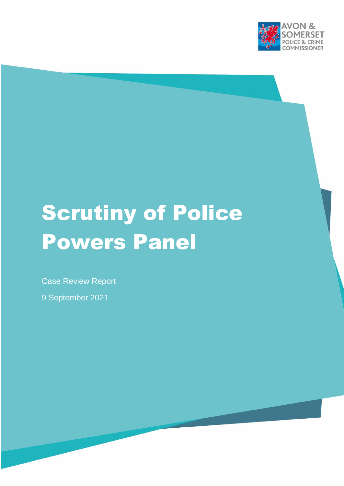

# Scrutiny of Police Powers Panel

Case Review Report

9 September 2021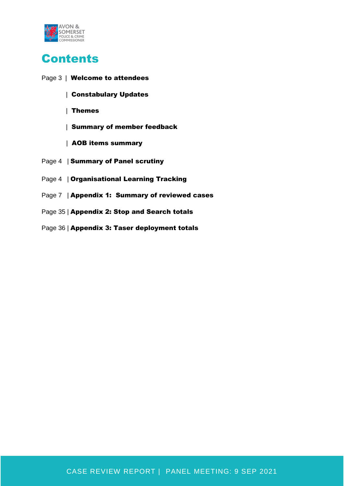

# **Contents**

- Page 3 | Welcome to attendees
	- | Constabulary Updates
	- | Themes
	- | Summary of member feedback
	- | AOB items summary
- Page 4 | Summary of Panel scrutiny
- Page 4 | Organisational Learning Tracking
- Page 7 | Appendix 1: Summary of reviewed cases
- Page 35 | Appendix 2: Stop and Search totals
- Page 36 | Appendix 3: Taser deployment totals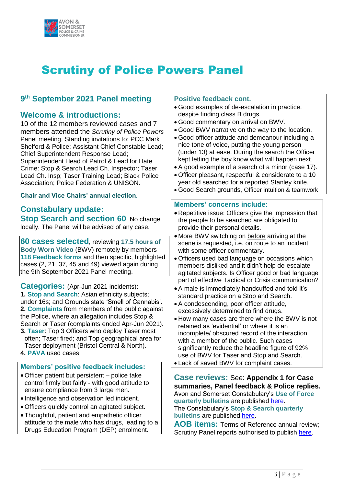

# Scrutiny of Police Powers Panel

## **9 th September 2021 Panel meeting**

### **Welcome & introductions:**

10 of the 12 members reviewed cases and 7 members attended the *Scrutiny of Police Powers* Panel meeting. Standing invitations to: PCC Mark Shelford & Police: Assistant Chief Constable Lead; Chief Superintendent Response Lead; Superintendent Head of Patrol & Lead for Hate Crime: Stop & Search Lead Ch. Inspector; Taser Lead Ch. Insp; Taser Training Lead; Black Police Association; Police Federation & UNISON.

#### **Chair and Vice Chairs' annual election.**

### **Constabulary update: Stop Search and section 60. No change**

locally. The Panel will be advised of any case.

**60 cases selected**, reviewing **17.5 hours of Body Worn Video** (BWV) remotely by members **118 Feedback forms** and then specific, highlighted cases (2, 21, 37, 45 and 49) viewed again during the 9th September 2021 Panel meeting.

**Categories:** (Apr-Jun 2021 incidents): **1. Stop and Search**: Asian ethnicity subjects; under 16s; and Grounds state 'Smell of Cannabis'. **2. Complaints** from members of the public against the Police, where an allegation includes Stop & Search or Taser (complaints ended Apr-Jun 2021). **3. Taser**: Top 3 Officers who deploy Taser most often; Taser fired; and Top geographical area for

- Taser deployment (Bristol Central & North).
- **4. PAVA** used cases.

#### **Members' positive feedback includes:**

- Officer patient but persistent police take control firmly but fairly - with good attitude to ensure compliance from 3 large men.
- Intelligence and observation led incident.
- Officers quickly control an agitated subject.
- Thoughtful, patient and empathetic officer attitude to the male who has drugs, leading to a Drugs Education Program (DEP) enrolment.

#### **Positive feedback cont.**

- Good examples of de-escalation in practice, despite finding class B drugs.
- Good commentary on arrival on BWV.
- Good BWV narrative on the way to the location.
- Good officer attitude and demeanour including a nice tone of voice, putting the young person (under 13) at ease. During the search the Officer kept letting the boy know what will happen next.
- A good example of a search of a minor (case 17).
- Officer pleasant, respectful & considerate to a 10 year old searched for a reported Stanley knife.
- Good Search grounds, Officer intuition & teamwork

#### **Members' concerns include:**

- Repetitive issue: Officers give the impression that the people to be searched are obligated to provide their personal details.
- More BWV switching on before arriving at the scene is requested, i.e. on route to an incident with some officer commentary.
- Officers used bad language on occasions which members disliked and it didn't help de-escalate agitated subjects. Is Officer good or bad language part of effective Tactical or Crisis communication?
- A male is immediately handcuffed and told it's standard practice on a Stop and Search.
- A condescending, poor officer attitude, excessively determined to find drugs.
- How many cases are there where the BWV is not retained as 'evidential' or where it is an incomplete/ obscured record of the interaction with a member of the public. Such cases significantly reduce the headline figure of 92% use of BWV for Taser and Stop and Search.
- Lack of saved BWV for complaint cases.

**Case reviews:** See: **Appendix 1 for Case summaries, Panel feedback & Police replies.** Avon and Somerset Constabulary's **Use of Force quarterly bulletins** are published [here.](https://www.avonandsomerset.police.uk/about/our-priorities/use-of-force/) The Constabulary's **Stop & Search quarterly bulletins** are published [here.](https://www.avonandsomerset.police.uk/about/our-priorities/stop-and-search-statistics/)

**AOB items:** Terms of Reference annual review; Scrutiny Panel reports authorised to publish [here.](https://www.avonandsomerset-pcc.gov.uk/reports-publications/scrutiny-police-powers-panel-reports/)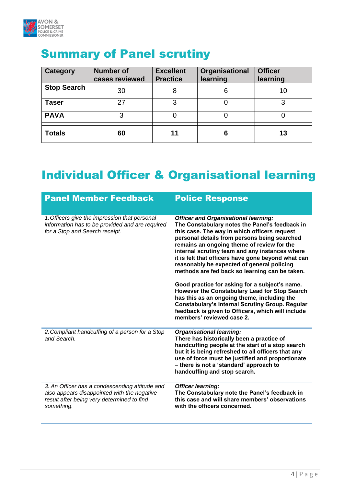

| Category           | <b>Number of</b><br>cases reviewed | <b>Excellent</b><br><b>Practice</b> | Organisational<br>learning | <b>Officer</b><br>learning |
|--------------------|------------------------------------|-------------------------------------|----------------------------|----------------------------|
| <b>Stop Search</b> | 30                                 | 8                                   | 6                          | 10                         |
| <b>Taser</b>       | 27                                 | 3                                   |                            | 3                          |
| <b>PAVA</b>        | 3                                  | 0                                   |                            |                            |
| <b>Totals</b>      | 60                                 | 11                                  | 6                          | 13                         |

# Summary of Panel scrutiny

# Individual Officer & Organisational learning

| <b>Panel Member Feedback</b>                                                                                                                              | <b>Police Response</b>                                                                                                                                                                                                                                                                                                                                                                                                                                                                                                                                                                                                                                                                                                                            |
|-----------------------------------------------------------------------------------------------------------------------------------------------------------|---------------------------------------------------------------------------------------------------------------------------------------------------------------------------------------------------------------------------------------------------------------------------------------------------------------------------------------------------------------------------------------------------------------------------------------------------------------------------------------------------------------------------------------------------------------------------------------------------------------------------------------------------------------------------------------------------------------------------------------------------|
| 1. Officers give the impression that personal<br>information has to be provided and are required<br>for a Stop and Search receipt.                        | <b>Officer and Organisational learning:</b><br>The Constabulary notes the Panel's feedback in<br>this case. The way in which officers request<br>personal details from persons being searched<br>remains an ongoing theme of review for the<br>internal scrutiny team and any instances where<br>it is felt that officers have gone beyond what can<br>reasonably be expected of general policing<br>methods are fed back so learning can be taken.<br>Good practice for asking for a subject's name.<br>However the Constabulary Lead for Stop Search<br>has this as an ongoing theme, including the<br><b>Constabulary's Internal Scrutiny Group. Regular</b><br>feedback is given to Officers, which will include<br>members' reviewed case 2. |
| 2. Compliant handcuffing of a person for a Stop<br>and Search.                                                                                            | <b>Organisational learning:</b><br>There has historically been a practice of<br>handcuffing people at the start of a stop search<br>but it is being refreshed to all officers that any<br>use of force must be justified and proportionate<br>- there is not a 'standard' approach to<br>handcuffing and stop search.                                                                                                                                                                                                                                                                                                                                                                                                                             |
| 3. An Officer has a condescending attitude and<br>also appears disappointed with the negative<br>result after being very determined to find<br>something. | <b>Officer learning:</b><br>The Constabulary note the Panel's feedback in<br>this case and will share members' observations<br>with the officers concerned.                                                                                                                                                                                                                                                                                                                                                                                                                                                                                                                                                                                       |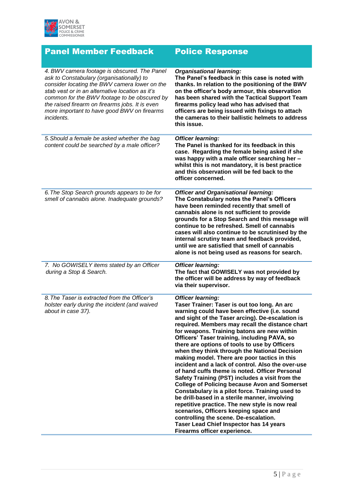

| <b>Panel Member Feedback</b>                                                                                                                                                                                                                                                                                                                                  | <b>Police Response</b>                                                                                                                                                                                                                                                                                                                                                                                                                                                                                                                                                                                                                                                                                                                                                                                                                                                                                                                                                                                                        |
|---------------------------------------------------------------------------------------------------------------------------------------------------------------------------------------------------------------------------------------------------------------------------------------------------------------------------------------------------------------|-------------------------------------------------------------------------------------------------------------------------------------------------------------------------------------------------------------------------------------------------------------------------------------------------------------------------------------------------------------------------------------------------------------------------------------------------------------------------------------------------------------------------------------------------------------------------------------------------------------------------------------------------------------------------------------------------------------------------------------------------------------------------------------------------------------------------------------------------------------------------------------------------------------------------------------------------------------------------------------------------------------------------------|
| 4. BWV camera footage is obscured. The Panel<br>ask to Constabulary (organisationally) to<br>consider locating the BWV camera lower on the<br>stab vest or in an alternative location as it's<br>common for the BWV footage to be obscured by<br>the raised firearm on firearms jobs. It is even<br>more important to have good BWV on firearms<br>incidents. | <b>Organisational learning:</b><br>The Panel's feedback in this case is noted with<br>thanks. In relation to the positioning of the BWV<br>on the officer's body armour, this observation<br>has been shared with the Tactical Support Team<br>firearms policy lead who has advised that<br>officers are being issued with fixings to attach<br>the cameras to their ballistic helmets to address<br>this issue.                                                                                                                                                                                                                                                                                                                                                                                                                                                                                                                                                                                                              |
| 5. Should a female be asked whether the bag<br>content could be searched by a male officer?                                                                                                                                                                                                                                                                   | <b>Officer learning:</b><br>The Panel is thanked for its feedback in this<br>case. Regarding the female being asked if she<br>was happy with a male officer searching her -<br>whilst this is not mandatory, it is best practice<br>and this observation will be fed back to the<br>officer concerned.                                                                                                                                                                                                                                                                                                                                                                                                                                                                                                                                                                                                                                                                                                                        |
| 6. The Stop Search grounds appears to be for<br>smell of cannabis alone. Inadequate grounds?                                                                                                                                                                                                                                                                  | <b>Officer and Organisational learning:</b><br>The Constabulary notes the Panel's Officers<br>have been reminded recently that smell of<br>cannabis alone is not sufficient to provide<br>grounds for a Stop Search and this message will<br>continue to be refreshed. Smell of cannabis<br>cases will also continue to be scrutinised by the<br>internal scrutiny team and feedback provided,<br>until we are satisfied that smell of cannabis<br>alone is not being used as reasons for search.                                                                                                                                                                                                                                                                                                                                                                                                                                                                                                                             |
| 7. No GOWISELY items stated by an Officer<br>during a Stop & Search.                                                                                                                                                                                                                                                                                          | <b>Officer learning:</b><br>The fact that GOWISELY was not provided by<br>the officer will be address by way of feedback<br>via their supervisor.                                                                                                                                                                                                                                                                                                                                                                                                                                                                                                                                                                                                                                                                                                                                                                                                                                                                             |
| 8. The Taser is extracted from the Officer's<br>holster early during the incident (and waived<br>about in case 37).                                                                                                                                                                                                                                           | <b>Officer learning:</b><br>Taser Trainer: Taser is out too long. An arc<br>warning could have been effective (i.e. sound<br>and sight of the Taser arcing). De-escalation is<br>required. Members may recall the distance chart<br>for weapons. Training batons are new within<br>Officers' Taser training, including PAVA, so<br>there are options of tools to use by Officers<br>when they think through the National Decision<br>making model. There are poor tactics in this<br>incident and a lack of control. Also the over-use<br>of hand cuffs theme is noted. Officer Personal<br>Safety Training (PST) includes a visit from the<br><b>College of Policing because Avon and Somerset</b><br>Constabulary is a pilot force. Training used to<br>be drill-based in a sterile manner, involving<br>repetitive practice. The new style is now real<br>scenarios, Officers keeping space and<br>controlling the scene. De-escalation.<br><b>Taser Lead Chief Inspector has 14 years</b><br>Firearms officer experience. |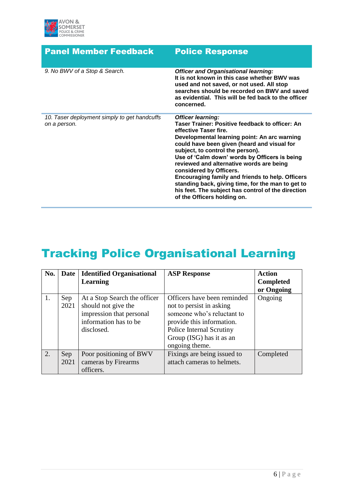

| <b>Panel Member Feedback</b>                                 | <b>Police Response</b>                                                                                                                                                                                                                                                                                                                                                                                                                                                                                                                                        |
|--------------------------------------------------------------|---------------------------------------------------------------------------------------------------------------------------------------------------------------------------------------------------------------------------------------------------------------------------------------------------------------------------------------------------------------------------------------------------------------------------------------------------------------------------------------------------------------------------------------------------------------|
| 9. No BWV of a Stop & Search.                                | <b>Officer and Organisational learning:</b><br>It is not known in this case whether BWV was<br>used and not saved, or not used. All stop<br>searches should be recorded on BWV and saved<br>as evidential. This will be fed back to the officer<br>concerned.                                                                                                                                                                                                                                                                                                 |
| 10. Taser deployment simply to get handcuffs<br>on a person. | <b>Officer learning:</b><br>Taser Trainer: Positive feedback to officer: An<br>effective Taser fire.<br>Developmental learning point: An arc warning<br>could have been given (heard and visual for<br>subject, to control the person).<br>Use of 'Calm down' words by Officers is being<br>reviewed and alternative words are being<br>considered by Officers.<br>Encouraging family and friends to help. Officers<br>standing back, giving time, for the man to get to<br>his feet. The subject has control of the direction<br>of the Officers holding on. |

# Tracking Police Organisational Learning

| No. | Date | <b>Identified Organisational</b> | <b>ASP Response</b>         | <b>Action</b>    |
|-----|------|----------------------------------|-----------------------------|------------------|
|     |      | <b>Learning</b>                  |                             | <b>Completed</b> |
|     |      |                                  |                             | or Ongoing       |
| 1.  | Sep  | At a Stop Search the officer     | Officers have been reminded | Ongoing          |
|     | 2021 | should not give the              | not to persist in asking    |                  |
|     |      | impression that personal         | someone who's reluctant to  |                  |
|     |      | information has to be            | provide this information.   |                  |
|     |      | disclosed.                       | Police Internal Scrutiny    |                  |
|     |      |                                  | Group (ISG) has it as an    |                  |
|     |      |                                  | ongoing theme.              |                  |
| 2.  | Sep  | Poor positioning of BWV          | Fixings are being issued to | Completed        |
|     | 2021 | cameras by Firearms              | attach cameras to helmets.  |                  |
|     |      | officers.                        |                             |                  |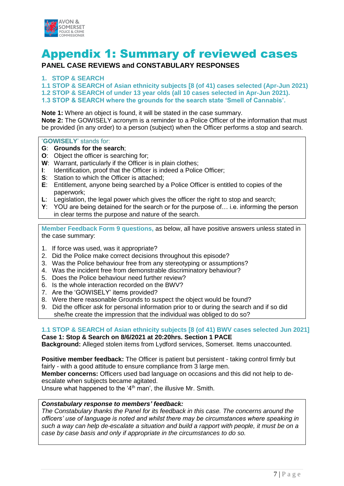

# Appendix 1: Summary of reviewed cases

### **PANEL CASE REVIEWS and CONSTABULARY RESPONSES**

#### **1. STOP & SEARCH**

**1.1 STOP & SEARCH of Asian ethnicity subjects [8 (of 41) cases selected (Apr-Jun 2021) 1.2 STOP & SEARCH of under 13 year olds (all 10 cases selected in Apr-Jun 2021). 1.3 STOP & SEARCH where the grounds for the search state 'Smell of Cannabis'.**

**Note 1:** Where an object is found, it will be stated in the case summary. **Note 2:** The GOWISELY acronym is a reminder to a Police Officer of the information that must be provided (in any order) to a person (subject) when the Officer performs a stop and search.

#### '**GOWISELY**' stands for:

- **G**: **Grounds for the search**;
- **O**: Object the officer is searching for;
- **W**: Warrant, particularly if the Officer is in plain clothes;
- **I**: Identification, proof that the Officer is indeed a Police Officer;
- **S**: Station to which the Officer is attached;
- **E**: Entitlement, anyone being searched by a Police Officer is entitled to copies of the paperwork;
- **L**: Legislation, the legal power which gives the officer the right to stop and search;
- **Y**: YOU are being detained for the search or for the purpose of… i.e. informing the person in clear terms the purpose and nature of the search.

**Member Feedback Form 9 questions,** as below, all have positive answers unless stated in the case summary:

- 1. If force was used, was it appropriate?
- 2. Did the Police make correct decisions throughout this episode?
- 3. Was the Police behaviour free from any stereotyping or assumptions?
- 4. Was the incident free from demonstrable discriminatory behaviour?
- 5. Does the Police behaviour need further review?
- 6. Is the whole interaction recorded on the BWV?
- 7. Are the 'GOWISELY' items provided?
- 8. Were there reasonable Grounds to suspect the object would be found?
- 9. Did the officer ask for personal information prior to or during the search and if so did she/he create the impression that the individual was obliged to do so?

#### **1.1 STOP & SEARCH of Asian ethnicity subjects [8 (of 41) BWV cases selected Jun 2021]**

**Case 1: Stop & Search on 8/6/2021 at 20:20hrs. Section 1 PACE Background:** Alleged stolen items from Lydford services, Somerset. Items unaccounted.

**Positive member feedback:** The Officer is patient but persistent - taking control firmly but fairly - with a good attitude to ensure compliance from 3 large men.

**Member concerns:** Officers used bad language on occasions and this did not help to deescalate when subjects became agitated.

Unsure what happened to the '4<sup>th</sup> man', the illusive Mr. Smith.

#### *Constabulary response to members' feedback:*

*The Constabulary thanks the Panel for its feedback in this case. The concerns around the officers' use of language is noted and whilst there may be circumstances where speaking in such a way can help de-escalate a situation and build a rapport with people, it must be on a case by case basis and only if appropriate in the circumstances to do so.*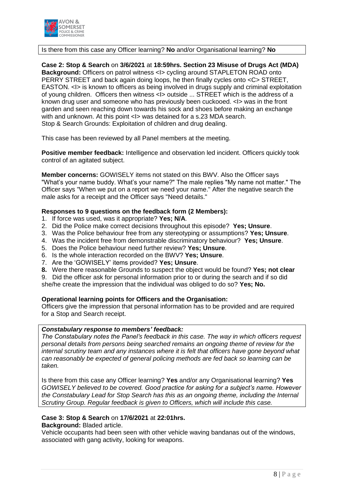

#### Is there from this case any Officer learning? **No** and/or Organisational learning? **No**

**Case 2: Stop & Search** on **3/6/2021** at **18:59hrs. Section 23 Misuse of Drugs Act (MDA) Background:** Officers on patrol witness <I> cycling around STAPLETON ROAD onto PERRY STREET and back again doing loops, he then finally cycles onto <C> STREET, EASTON. <I> is known to officers as being involved in drugs supply and criminal exploitation of young children. Officers then witness <I> outside ... STREET which is the address of a known drug user and someone who has previously been cuckooed. <I> was in the front garden and seen reaching down towards his sock and shoes before making an exchange with and unknown. At this point <I> was detained for a s.23 MDA search. Stop & Search Grounds: Exploitation of children and drug dealing.

This case has been reviewed by all Panel members at the meeting.

**Positive member feedback:** Intelligence and observation led incident. Officers quickly took control of an agitated subject.

**Member concerns:** GOWISELY items not stated on this BWV. Also the Officer says "What's your name buddy. What's your name?" The male replies "My name not matter." The Officer says "When we put on a report we need your name." After the negative search the male asks for a receipt and the Officer says "Need details."

#### **Responses to 9 questions on the feedback form (2 Members):**

- 1. If force was used, was it appropriate? **Yes; N/A**.
- 2. Did the Police make correct decisions throughout this episode? **Yes; Unsure**.
- 3. Was the Police behaviour free from any stereotyping or assumptions? **Yes; Unsure**.
- 4. Was the incident free from demonstrable discriminatory behaviour? **Yes; Unsure**.
- 5. Does the Police behaviour need further review? **Yes; Unsure**.
- 6. Is the whole interaction recorded on the BWV? **Yes; Unsure**.
- 7. Are the 'GOWISELY' items provided? **Yes; Unsure**.
- **8.** Were there reasonable Grounds to suspect the object would be found? **Yes; not clear**

9. Did the officer ask for personal information prior to or during the search and if so did she/he create the impression that the individual was obliged to do so? **Yes; No.**

#### **Operational learning points for Officers and the Organisation:**

Officers give the impression that personal information has to be provided and are required for a Stop and Search receipt.

#### *Constabulary response to members' feedback:*

*The Constabulary notes the Panel's feedback in this case. The way in which officers request personal details from persons being searched remains an ongoing theme of review for the internal scrutiny team and any instances where it is felt that officers have gone beyond what can reasonably be expected of general policing methods are fed back so learning can be taken.*

Is there from this case any Officer learning? **Yes** and/or any Organisational learning? **Yes** *GOWISELY believed to be covered. Good practice for asking for a subject's name. However the Constabulary Lead for Stop Search has this as an ongoing theme, including the Internal Scrutiny Group. Regular feedback is given to Officers, which will include this case.* 

#### **Case 3: Stop & Search** on **17/6/2021** at **22:01hrs.**

**Background:** Bladed article.

Vehicle occupants had been seen with other vehicle waving bandanas out of the windows, associated with gang activity, looking for weapons.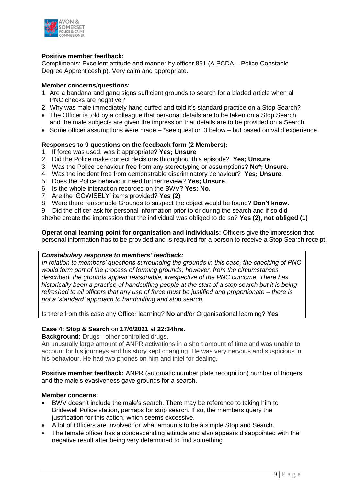

#### **Positive member feedback:**

Compliments: Excellent attitude and manner by officer 851 (A PCDA – Police Constable Degree Apprenticeship). Very calm and appropriate.

#### **Member concerns/questions:**

- 1. Are a bandana and gang signs sufficient grounds to search for a bladed article when all PNC checks are negative?
- 2. Why was male immediately hand cuffed and told it's standard practice on a Stop Search?
- The Officer is told by a colleague that personal details are to be taken on a Stop Search and the male subjects are given the impression that details are to be provided on a Search.
- $\bullet$  Some officer assumptions were made \*see question 3 below but based on valid experience.

#### **Responses to 9 questions on the feedback form (2 Members):**

- 1. If force was used, was it appropriate? **Yes; Unsure**
- 2. Did the Police make correct decisions throughout this episode? **Yes; Unsure**.
- 3. Was the Police behaviour free from any stereotyping or assumptions? **No\*; Unsure**.
- 4. Was the incident free from demonstrable discriminatory behaviour? **Yes; Unsure**.
- 5. Does the Police behaviour need further review? **Yes; Unsure**.
- 6. Is the whole interaction recorded on the BWV? **Yes; No**.
- 7. Are the 'GOWISELY' items provided? **Yes (2)**
- 8. Were there reasonable Grounds to suspect the object would be found? **Don't know.**

9. Did the officer ask for personal information prior to or during the search and if so did she/he create the impression that the individual was obliged to do so? **Yes (2), not obliged (1)**

**Operational learning point for organisation and individuals:** Officers give the impression that personal information has to be provided and is required for a person to receive a Stop Search receipt.

#### *Constabulary response to members' feedback:*

*In relation to members' questions surrounding the grounds in this case, the checking of PNC would form part of the process of forming grounds, however, from the circumstances described, the grounds appear reasonable, irrespective of the PNC outcome. There has historically been a practice of handcuffing people at the start of a stop search but it is being refreshed to all officers that any use of force must be justified and proportionate – there is not a 'standard' approach to handcuffing and stop search.*

Is there from this case any Officer learning? **No** and/or Organisational learning? **Yes**

#### **Case 4: Stop & Search** on **17/6/2021** at **22:34hrs.**

**Background:** Drugs - other controlled drugs.

An unusually large amount of ANPR activations in a short amount of time and was unable to account for his journeys and his story kept changing, He was very nervous and suspicious in his behaviour. He had two phones on him and intel for dealing.

**Positive member feedback:** ANPR (automatic number plate recognition) number of triggers and the male's evasiveness gave grounds for a search.

#### **Member concerns:**

- BWV doesn't include the male's search. There may be reference to taking him to Bridewell Police station, perhaps for strip search. If so, the members query the justification for this action, which seems excessive.
- A lot of Officers are involved for what amounts to be a simple Stop and Search.
- The female officer has a condescending attitude and also appears disappointed with the negative result after being very determined to find something.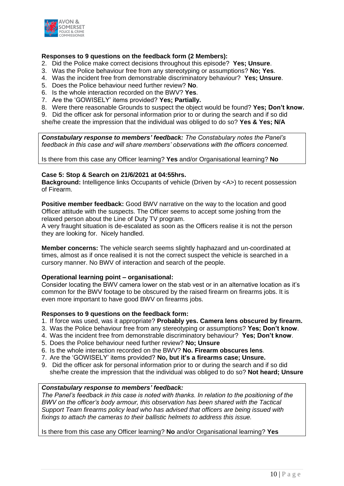

#### **Responses to 9 questions on the feedback form (2 Members):**

- 2. Did the Police make correct decisions throughout this episode? **Yes; Unsure**.
- 3. Was the Police behaviour free from any stereotyping or assumptions? **No; Yes**.
- 4. Was the incident free from demonstrable discriminatory behaviour? **Yes; Unsure**.
- 5. Does the Police behaviour need further review? **No**.
- 6. Is the whole interaction recorded on the BWV? **Yes**.
- 7. Are the 'GOWISELY' items provided? **Yes; Partially.**
- 8. Were there reasonable Grounds to suspect the object would be found? **Yes; Don't know.**

9. Did the officer ask for personal information prior to or during the search and if so did she/he create the impression that the individual was obliged to do so? **Yes & Yes; N/A**

*Constabulary response to members' feedback: The Constabulary notes the Panel's feedback in this case and will share members' observations with the officers concerned.*

Is there from this case any Officer learning? **Yes** and/or Organisational learning? **No**

#### **Case 5: Stop & Search on 21/6/2021 at 04:55hrs.**

**Background:** Intelligence links Occupants of vehicle (Driven by <A>) to recent possession of Firearm.

**Positive member feedback:** Good BWV narrative on the way to the location and good Officer attitude with the suspects. The Officer seems to accept some joshing from the relaxed person about the Line of Duty TV program.

A very fraught situation is de-escalated as soon as the Officers realise it is not the person they are looking for. Nicely handled.

**Member concerns:** The vehicle search seems slightly haphazard and un-coordinated at times, almost as if once realised it is not the correct suspect the vehicle is searched in a cursory manner. No BWV of interaction and search of the people.

#### **Operational learning point – organisational:**

Consider locating the BWV camera lower on the stab vest or in an alternative location as it's common for the BWV footage to be obscured by the raised firearm on firearms jobs. It is even more important to have good BWV on firearms jobs.

#### **Responses to 9 questions on the feedback form:**

- 1. If force was used, was it appropriate? **Probably yes. Camera lens obscured by firearm.**
- 3. Was the Police behaviour free from any stereotyping or assumptions? **Yes; Don't know**.
- 4. Was the incident free from demonstrable discriminatory behaviour? **Yes; Don't know**.
- 5. Does the Police behaviour need further review? **No; Unsure**
- 6. Is the whole interaction recorded on the BWV? **No. Firearm obscures lens**.
- 7. Are the 'GOWISELY' items provided? **No, but it's a firearms case; Unsure.**
- 9. Did the officer ask for personal information prior to or during the search and if so did she/he create the impression that the individual was obliged to do so? **Not heard; Unsure**

#### *Constabulary response to members' feedback:*

*The Panel's feedback in this case is noted with thanks. In relation to the positioning of the BWV on the officer's body armour, this observation has been shared with the Tactical Support Team firearms policy lead who has advised that officers are being issued with fixings to attach the cameras to their ballistic helmets to address this issue.*

Is there from this case any Officer learning? **No** and/or Organisational learning? **Yes**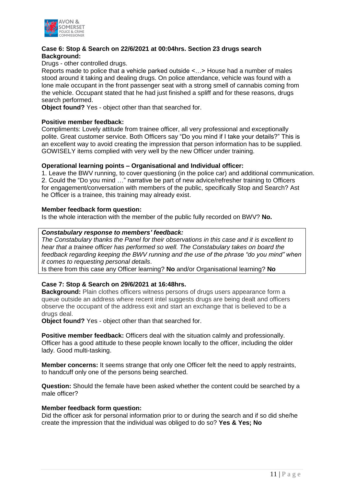

#### **Case 6: Stop & Search on 22/6/2021 at 00:04hrs. Section 23 drugs search Background:**

Drugs - other controlled drugs.

Reports made to police that a vehicle parked outside <…> House had a number of males stood around it taking and dealing drugs. On police attendance, vehicle was found with a lone male occupant in the front passenger seat with a strong smell of cannabis coming from the vehicle. Occupant stated that he had just finished a spliff and for these reasons, drugs search performed.

**Object found?** Yes - object other than that searched for.

#### **Positive member feedback:**

Compliments: Lovely attitude from trainee officer, all very professional and exceptionally polite. Great customer service. Both Officers say "Do you mind if I take your details?" This is an excellent way to avoid creating the impression that person information has to be supplied. GOWISELY items complied with very well by the new Officer under training.

#### **Operational learning points – Organisational and Individual officer:**

1. Leave the BWV running, to cover questioning (in the police car) and additional communication. 2. Could the "Do you mind …" narrative be part of new advice/refresher training to Officers for engagement/conversation with members of the public, specifically Stop and Search? Ast he Officer is a trainee, this training may already exist.

#### **Member feedback form question:**

Is the whole interaction with the member of the public fully recorded on BWV? **No.**

#### *Constabulary response to members' feedback:*

*The Constabulary thanks the Panel for their observations in this case and it is excellent to hear that a trainee officer has performed so well. The Constabulary takes on board the feedback regarding keeping the BWV running and the use of the phrase "do you mind" when it comes to requesting personal details*.

Is there from this case any Officer learning? **No** and/or Organisational learning? **No**

#### **Case 7: Stop & Search on 29/6/2021 at 16:48hrs.**

**Background:** Plain clothes officers witness persons of drugs users appearance form a queue outside an address where recent intel suggests drugs are being dealt and officers observe the occupant of the address exit and start an exchange that is believed to be a drugs deal.

**Object found?** Yes - object other than that searched for.

**Positive member feedback:** Officers deal with the situation calmly and professionally. Officer has a good attitude to these people known locally to the officer, including the older lady. Good multi-tasking.

**Member concerns:** It seems strange that only one Officer felt the need to apply restraints, to handcuff only one of the persons being searched.

**Question:** Should the female have been asked whether the content could be searched by a male officer?

#### **Member feedback form question:**

Did the officer ask for personal information prior to or during the search and if so did she/he create the impression that the individual was obliged to do so? **Yes & Yes; No**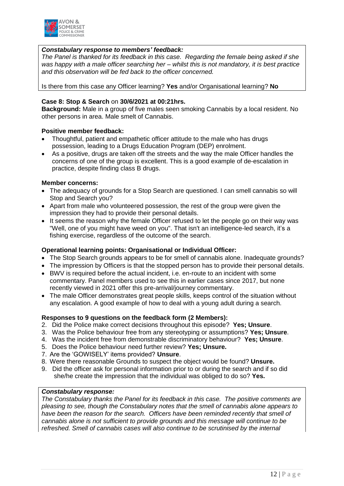

#### *Constabulary response to members' feedback:*

*The Panel is thanked for its feedback in this case. Regarding the female being asked if she was happy with a male officer searching her – whilst this is not mandatory, it is best practice and this observation will be fed back to the officer concerned.*

Is there from this case any Officer learning? **Yes** and/or Organisational learning? **No**

#### **Case 8: Stop & Search** on **30/6/2021 at 00:21hrs.**

**Background:** Male in a group of five males seen smoking Cannabis by a local resident. No other persons in area. Male smelt of Cannabis.

#### **Positive member feedback:**

- Thoughtful, patient and empathetic officer attitude to the male who has drugs possession, leading to a Drugs Education Program (DEP) enrolment.
- As a positive, drugs are taken off the streets and the way the male Officer handles the concerns of one of the group is excellent. This is a good example of de-escalation in practice, despite finding class B drugs.

#### **Member concerns:**

- The adequacy of grounds for a Stop Search are questioned. I can smell cannabis so will Stop and Search you?
- Apart from male who volunteered possession, the rest of the group were given the impression they had to provide their personal details.
- It seems the reason why the female Officer refused to let the people go on their way was "Well, one of you might have weed on you". That isn't an intelligence-led search, it's a fishing exercise, regardless of the outcome of the search.

#### **Operational learning points: Organisational or Individual Officer:**

- The Stop Search grounds appears to be for smell of cannabis alone. Inadequate grounds?
- The impression by Officers is that the stopped person has to provide their personal details.
- BWV is required before the actual incident, i.e. en-route to an incident with some commentary. Panel members used to see this in earlier cases since 2017, but none recently viewed in 2021 offer this pre-arrival/journey commentary.
- The male Officer demonstrates great people skills, keeps control of the situation without any escalation. A good example of how to deal with a young adult during a search.

#### **Responses to 9 questions on the feedback form (2 Members):**

- 2. Did the Police make correct decisions throughout this episode? **Yes; Unsure**.
- 3. Was the Police behaviour free from any stereotyping or assumptions? **Yes; Unsure**.
- 4. Was the incident free from demonstrable discriminatory behaviour? **Yes; Unsure**.
- 5. Does the Police behaviour need further review? **Yes; Unsure.**
- 7. Are the 'GOWISELY' items provided? **Unsure**.
- 8. Were there reasonable Grounds to suspect the object would be found? **Unsure.**
- 9. Did the officer ask for personal information prior to or during the search and if so did she/he create the impression that the individual was obliged to do so? **Yes.**

#### *Constabulary response:*

*The Constabulary thanks the Panel for its feedback in this case. The positive comments are pleasing to see, though the Constabulary notes that the smell of cannabis alone appears to have been the reason for the search. Officers have been reminded recently that smell of cannabis alone is not sufficient to provide grounds and this message will continue to be refreshed. Smell of cannabis cases will also continue to be scrutinised by the internal*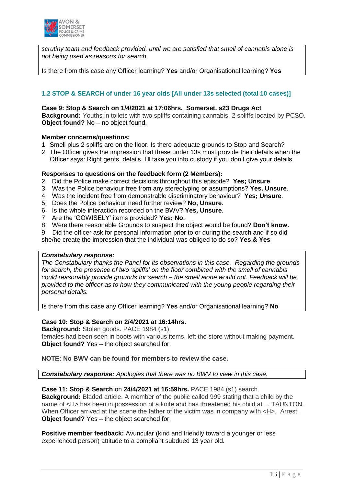

*scrutiny team and feedback provided, until we are satisfied that smell of cannabis alone is not being used as reasons for search.*

Is there from this case any Officer learning? **Yes** and/or Organisational learning? **Yes**

#### **1.2 STOP & SEARCH of under 16 year olds [All under 13s selected (total 10 cases)]**

#### **Case 9: Stop & Search on 1/4/2021 at 17:06hrs. Somerset. s23 Drugs Act**

**Background:** Youths in toilets with two spliffs containing cannabis. 2 spliffs located by PCSO. **Object found?** No – no object found.

#### **Member concerns/questions:**

- 1. Smell plus 2 spliffs are on the floor. Is there adequate grounds to Stop and Search?
- 2. The Officer gives the impression that these under 13s must provide their details when the Officer says: Right gents, details. I'll take you into custody if you don't give your details.

#### **Responses to questions on the feedback form (2 Members):**

- 2. Did the Police make correct decisions throughout this episode? **Yes; Unsure**.
- 3. Was the Police behaviour free from any stereotyping or assumptions? **Yes, Unsure**.
- 4. Was the incident free from demonstrable discriminatory behaviour? **Yes; Unsure**.
- 5. Does the Police behaviour need further review? **No, Unsure**.
- 6. Is the whole interaction recorded on the BWV? **Yes, Unsure**.
- 7. Are the 'GOWISELY' items provided? **Yes; No.**
- 8. Were there reasonable Grounds to suspect the object would be found? **Don't know.**
- 9. Did the officer ask for personal information prior to or during the search and if so did

she/he create the impression that the individual was obliged to do so? **Yes & Yes**

#### *Constabulary response:*

*The Constabulary thanks the Panel for its observations in this case. Regarding the grounds for search, the presence of two 'spliffs' on the floor combined with the smell of cannabis could reasonably provide grounds for search – the smell alone would not. Feedback will be provided to the officer as to how they communicated with the young people regarding their personal details.*

Is there from this case any Officer learning? **Yes** and/or Organisational learning? **No**

#### **Case 10: Stop & Search on 2/4/2021 at 16:14hrs.**

**Background:** Stolen goods. PACE 1984 (s1) females had been seen in boots with various items, left the store without making payment. **Object found?** Yes – the object searched for.

**NOTE: No BWV can be found for members to review the case.**

*Constabulary response: Apologies that there was no BWV to view in this case.*

#### **Case 11: Stop & Search** on **24/4/2021 at 16:59hrs.** PACE 1984 (s1) search.

**Background:** Bladed article. A member of the public called 999 stating that a child by the name of <H> has been in possession of a knife and has threatened his child at ... TAUNTON. When Officer arrived at the scene the father of the victim was in company with  $\lt$ H $>$ . Arrest. **Object found?** Yes – the object searched for.

**Positive member feedback:** Avuncular (kind and friendly toward a younger or less experienced person) attitude to a compliant subdued 13 year old.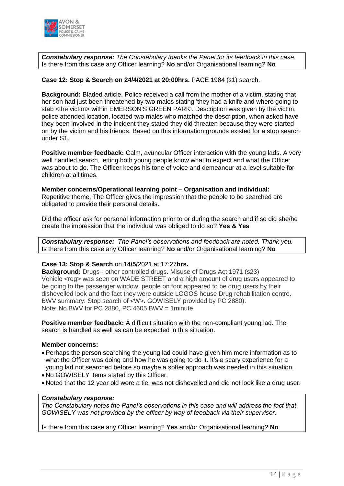

*Constabulary response: The Constabulary thanks the Panel for its feedback in this case.* Is there from this case any Officer learning? **No** and/or Organisational learning? **No**

#### **Case 12: Stop & Search on 24/4/2021 at 20:00hrs.** PACE 1984 (s1) search.

**Background:** Bladed article. Police received a call from the mother of a victim, stating that her son had just been threatened by two males stating 'they had a knife and where going to stab <the victim> within EMERSON'S GREEN PARK'. Description was given by the victim, police attended location, located two males who matched the description, when asked have they been involved in the incident they stated they did threaten because they were started on by the victim and his friends. Based on this information grounds existed for a stop search under S1.

**Positive member feedback:** Calm, avuncular Officer interaction with the young lads. A very well handled search, letting both young people know what to expect and what the Officer was about to do. The Officer keeps his tone of voice and demeanour at a level suitable for children at all times.

#### **Member concerns/Operational learning point – Organisation and individual:**

Repetitive theme: The Officer gives the impression that the people to be searched are obligated to provide their personal details.

Did the officer ask for personal information prior to or during the search and if so did she/he create the impression that the individual was obliged to do so? **Yes & Yes**

*Constabulary response: The Panel's observations and feedback are noted. Thank you.* Is there from this case any Officer learning? **No** and/or Organisational learning? **No**

#### **Case 13: Stop & Search** on **14/5/**2021 at 17:27**hrs.**

**Background:** Drugs - other controlled drugs. Misuse of Drugs Act 1971 (s23) Vehicle <reg> was seen on WADE STREET and a high amount of drug users appeared to be going to the passenger window, people on foot appeared to be drug users by their dishevelled look and the fact they were outside LOGOS house Drug rehabilitation centre. BWV summary: Stop search of <W>. GOWISELY provided by PC 2880). Note: No BWV for PC 2880, PC 4605 BWV = 1minute.

**Positive member feedback:** A difficult situation with the non-compliant young lad. The search is handled as well as can be expected in this situation.

#### **Member concerns:**

- Perhaps the person searching the young lad could have given him more information as to what the Officer was doing and how he was going to do it. It's a scary experience for a young lad not searched before so maybe a softer approach was needed in this situation.
- No GOWISELY items stated by this Officer.
- Noted that the 12 year old wore a tie, was not dishevelled and did not look like a drug user.

#### *Constabulary response:*

*The Constabulary notes the Panel's observations in this case and will address the fact that GOWISELY was not provided by the officer by way of feedback via their supervisor.*

Is there from this case any Officer learning? **Yes** and/or Organisational learning? **No**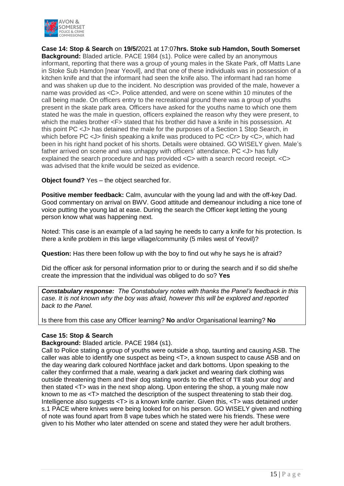

**Case 14: Stop & Search** on **19/5/**2021 at 17:07**hrs. Stoke sub Hamdon, South Somerset Background:** Bladed article. PACE 1984 (s1). Police were called by an anonymous informant, reporting that there was a group of young males in the Skate Park, off Matts Lane in Stoke Sub Hamdon [near Yeovil], and that one of these individuals was in possession of a kitchen knife and that the informant had seen the knife also. The informant had ran home and was shaken up due to the incident. No description was provided of the male, however a name was provided as <C>. Police attended, and were on scene within 10 minutes of the call being made. On officers entry to the recreational ground there was a group of youths present in the skate park area. Officers have asked for the youths name to which one them stated he was the male in question, officers explained the reason why they were present, to which the males brother  $\leq F$  stated that his brother did have a knife in his possession. At this point PC <J> has detained the male for the purposes of a Section 1 Stop Search, in which before PC < J > finish speaking a knife was produced to PC < Cr > by < C > which had been in his right hand pocket of his shorts. Details were obtained. GO WISELY given. Male's father arrived on scene and was unhappy with officers' attendance. PC <J> has fully explained the search procedure and has provided <C> with a search record receipt. <C> was advised that the knife would be seized as evidence.

#### **Object found?** Yes – the object searched for.

**Positive member feedback:** Calm, avuncular with the young lad and with the off-key Dad. Good commentary on arrival on BWV. Good attitude and demeanour including a nice tone of voice putting the young lad at ease. During the search the Officer kept letting the young person know what was happening next.

Noted: This case is an example of a lad saying he needs to carry a knife for his protection. Is there a knife problem in this large village/community (5 miles west of Yeovil)?

**Question:** Has there been follow up with the boy to find out why he says he is afraid?

Did the officer ask for personal information prior to or during the search and if so did she/he create the impression that the individual was obliged to do so? **Yes**

*Constabulary response: The Constabulary notes with thanks the Panel's feedback in this case. It is not known why the boy was afraid, however this will be explored and reported back to the Panel.*

Is there from this case any Officer learning? **No** and/or Organisational learning? **No**

#### **Case 15: Stop & Search**

#### **Background:** Bladed article. PACE 1984 (s1).

Call to Police stating a group of youths were outside a shop, taunting and causing ASB. The caller was able to identify one suspect as being <T>, a known suspect to cause ASB and on the day wearing dark coloured Northface jacket and dark bottoms. Upon speaking to the caller they confirmed that a male, wearing a dark jacket and wearing dark clothing was outside threatening them and their dog stating words to the effect of 'I'll stab your dog' and then stated <T> was in the next shop along. Upon entering the shop, a young male now known to me as <T> matched the description of the suspect threatening to stab their dog. Intelligence also suggests <T> is a known knife carrier. Given this, <T> was detained under s.1 PACE where knives were being looked for on his person. GO WISELY given and nothing of note was found apart from 8 vape tubes which he stated were his friends. These were given to his Mother who later attended on scene and stated they were her adult brothers.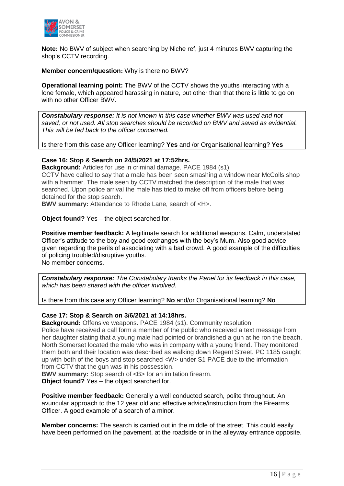

**Note:** No BWV of subject when searching by Niche ref, just 4 minutes BWV capturing the shop's CCTV recording.

**Member concern/question:** Why is there no BWV?

**Operational learning point:** The BWV of the CCTV shows the youths interacting with a lone female, which appeared harassing in nature, but other than that there is little to go on with no other Officer BWV.

*Constabulary response: It is not known in this case whether BWV was used and not saved, or not used. All stop searches should be recorded on BWV and saved as evidential. This will be fed back to the officer concerned.*

Is there from this case any Officer learning? **Yes** and /or Organisational learning? **Yes**

#### **Case 16: Stop & Search on 24/5/2021 at 17:52hrs.**

**Background:** Articles for use in criminal damage. PACE 1984 (s1).

CCTV have called to say that a male has been seen smashing a window near McColls shop with a hammer. The male seen by CCTV matched the description of the male that was searched. Upon police arrival the male has tried to make off from officers before being detained for the stop search.

**BWV summary:** Attendance to Rhode Lane, search of <H>.

**Object found?** Yes – the object searched for.

**Positive member feedback:** A legitimate search for additional weapons. Calm, understated Officer's attitude to the boy and good exchanges with the boy's Mum. Also good advice given regarding the perils of associating with a bad crowd. A good example of the difficulties of policing troubled/disruptive youths. No member concerns.

*Constabulary response: The Constabulary thanks the Panel for its feedback in this case, which has been shared with the officer involved.* 

Is there from this case any Officer learning? **No** and/or Organisational learning? **No**

#### **Case 17: Stop & Search on 3/6/2021 at 14:18hrs.**

**Background:** Offensive weapons. PACE 1984 (s1). Community resolution. Police have received a call form a member of the public who received a text message from her daughter stating that a young male had pointed or brandished a gun at he ron the beach. North Somerset located the male who was in company with a young friend. They monitored them both and their location was described as walking down Regent Street. PC 1185 caught up with both of the boys and stop searched <W> under S1 PACE due to the information from CCTV that the gun was in his possession.

**BWV summary:** Stop search of <B> for an imitation firearm.

**Object found?** Yes – the object searched for.

**Positive member feedback:** Generally a well conducted search, polite throughout. An avuncular approach to the 12 year old and effective advice/instruction from the Firearms Officer. A good example of a search of a minor.

**Member concerns:** The search is carried out in the middle of the street. This could easily have been performed on the pavement, at the roadside or in the alleyway entrance opposite.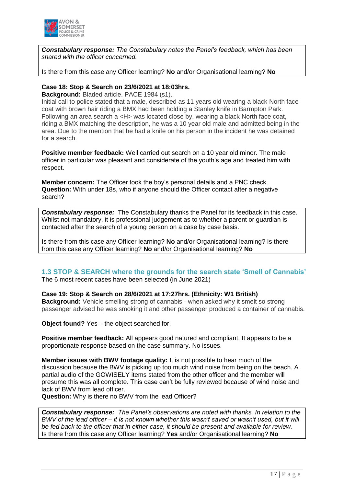

*Constabulary response: The Constabulary notes the Panel's feedback, which has been shared with the officer concerned.*

Is there from this case any Officer learning? **No** and/or Organisational learning? **No**

#### **Case 18: Stop & Search on 23/6/2021 at 18:03hrs.**

**Background:** Bladed article. PACE 1984 (s1).

Initial call to police stated that a male, described as 11 years old wearing a black North face coat with brown hair riding a BMX had been holding a Stanley knife in Barmpton Park. Following an area search a <H> was located close by, wearing a black North face coat, riding a BMX matching the description, he was a 10 year old male and admitted being in the area. Due to the mention that he had a knife on his person in the incident he was detained for a search.

**Positive member feedback:** Well carried out search on a 10 year old minor. The male officer in particular was pleasant and considerate of the youth's age and treated him with respect.

**Member concern:** The Officer took the boy's personal details and a PNC check. **Question:** With under 18s, who if anyone should the Officer contact after a negative search?

*Constabulary response:* The Constabulary thanks the Panel for its feedback in this case. Whilst not mandatory, it is professional judgement as to whether a parent or guardian is contacted after the search of a young person on a case by case basis.

Is there from this case any Officer learning? **No** and/or Organisational learning? Is there from this case any Officer learning? **No** and/or Organisational learning? **No**

#### **1.3 STOP & SEARCH where the grounds for the search state 'Smell of Cannabis'** The 6 most recent cases have been selected (in June 2021)

#### **Case 19: Stop & Search on 28/6/2021 at 17:27hrs. (Ethnicity: W1 British)**

**Background:** Vehicle smelling strong of cannabis - when asked why it smelt so strong passenger advised he was smoking it and other passenger produced a container of cannabis.

**Object found?** Yes – the object searched for.

**Positive member feedback:** All appears good natured and compliant. It appears to be a proportionate response based on the case summary. No issues.

**Member issues with BWV footage quality:** It is not possible to hear much of the discussion because the BWV is picking up too much wind noise from being on the beach. A partial audio of the GOWISELY items stated from the other officer and the member will presume this was all complete. This case can't be fully reviewed because of wind noise and lack of BWV from lead officer.

**Question:** Why is there no BWV from the lead Officer?

*Constabulary response: The Panel's observations are noted with thanks. In relation to the BWV of the lead officer – it is not known whether this wasn't saved or wasn't used, but it will be fed back to the officer that in either case, it should be present and available for review.* Is there from this case any Officer learning? **Yes** and/or Organisational learning? **No**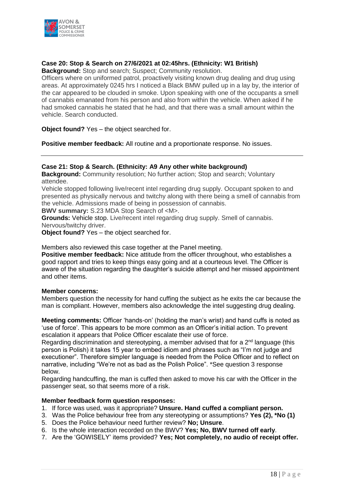

#### **Case 20: Stop & Search on 27/6/2021 at 02:45hrs. (Ethnicity: W1 British)**

**Background:** Stop and search; Suspect; Community resolution.

Officers where on uniformed patrol, proactively visiting known drug dealing and drug using areas. At approximately 0245 hrs I noticed a Black BMW pulled up in a lay by, the interior of the car appeared to be clouded in smoke. Upon speaking with one of the occupants a smell of cannabis emanated from his person and also from within the vehicle. When asked if he had smoked cannabis he stated that he had, and that there was a small amount within the vehicle. Search conducted.

**Object found?** Yes – the object searched for.

**Positive member feedback:** All routine and a proportionate response. No issues.

#### **Case 21: Stop & Search. (Ethnicity: A9 Any other white background)**

**Background:** Community resolution; No further action; Stop and search; Voluntary attendee.

Vehicle stopped following live/recent intel regarding drug supply. Occupant spoken to and presented as physically nervous and twitchy along with there being a smell of cannabis from the vehicle. Admissions made of being in possession of cannabis.

**BWV summary:** S.23 MDA Stop Search of <M>.

**Grounds:** Vehicle stop. Live/recent intel regarding drug supply. Smell of cannabis. Nervous/twitchy driver.

**Object found?** Yes – the object searched for.

Members also reviewed this case together at the Panel meeting.

**Positive member feedback:** Nice attitude from the officer throughout, who establishes a good rapport and tries to keep things easy going and at a courteous level. The Officer is aware of the situation regarding the daughter's suicide attempt and her missed appointment and other items.

#### **Member concerns:**

Members question the necessity for hand cuffing the subject as he exits the car because the man is compliant. However, members also acknowledge the intel suggesting drug dealing.

**Meeting comments:** Officer 'hands-on' (holding the man's wrist) and hand cuffs is noted as 'use of force'. This appears to be more common as an Officer's initial action. To prevent escalation it appears that Police Officer escalate their use of force.

Regarding discrimination and stereotyping, a member advised that for a 2<sup>nd</sup> language (this person is Polish) it takes 15 year to embed idiom and phrases such as "I'm not judge and executioner". Therefore simpler language is needed from the Police Officer and to reflect on narrative, including "We're not as bad as the Polish Police". \*See question 3 response below.

Regarding handcuffing, the man is cuffed then asked to move his car with the Officer in the passenger seat, so that seems more of a risk.

#### **Member feedback form question responses:**

- 1. If force was used, was it appropriate? **Unsure. Hand cuffed a compliant person.**
- 3. Was the Police behaviour free from any stereotyping or assumptions? **Yes (2), \*No (1)**
- 5. Does the Police behaviour need further review? **No; Unsure**.
- 6. Is the whole interaction recorded on the BWV? **Yes; No, BWV turned off early**.
- 7. Are the 'GOWISELY' items provided? **Yes; Not completely, no audio of receipt offer.**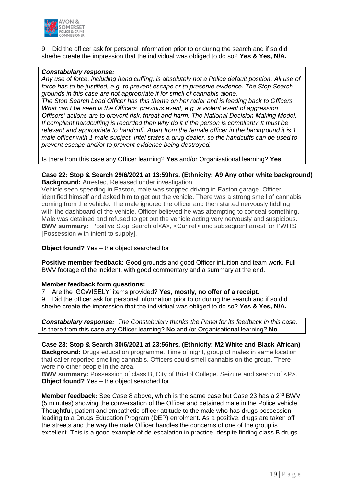

9. Did the officer ask for personal information prior to or during the search and if so did she/he create the impression that the individual was obliged to do so? **Yes & Yes, N/A.**

#### *Constabulary response:*

*Any use of force, including hand cuffing, is absolutely not a Police default position. All use of force has to be justified, e.g. to prevent escape or to preserve evidence. The Stop Search grounds in this case are not appropriate if for smell of cannabis alone. The Stop Search Lead Officer has this theme on her radar and is feeding back to Officers. What can't be seen is the Officers' previous event, e.g. a violent event of aggression. Officers' actions are to prevent risk, threat and harm. The National Decision Making Model. If compliant handcuffing is recorded then why do it if the person is compliant? It must be relevant and appropriate to handcuff. Apart from the female officer in the background it is 1 male officer with 1 male subject. Intel states a drug dealer, so the handcuffs can be used to prevent escape and/or to prevent evidence being destroyed.* 

Is there from this case any Officer learning? **Yes** and/or Organisational learning? **Yes**

#### **Case 22: Stop & Search 29/6/2021 at 13:59hrs. (Ethnicity: A9 Any other white background) Background:** Arrested, Released under investigation.

Vehicle seen speeding in Easton, male was stopped driving in Easton garage. Officer identified himself and asked him to get out the vehicle. There was a strong smell of cannabis coming from the vehicle. The male ignored the officer and then started nervously fiddling with the dashboard of the vehicle. Officer believed he was attempting to conceal something. Male was detained and refused to get out the vehicle acting very nervously and suspicious. **BWV summary:** Positive Stop Search of<A>, <Car ref> and subsequent arrest for PWITS [Possession with intent to supply].

#### **Object found?** Yes – the object searched for.

**Positive member feedback:** Good grounds and good Officer intuition and team work. Full BWV footage of the incident, with good commentary and a summary at the end.

#### **Member feedback form questions:**

7. Are the 'GOWISELY' items provided? **Yes, mostly, no offer of a receipt.**

9. Did the officer ask for personal information prior to or during the search and if so did she/he create the impression that the individual was obliged to do so? **Yes & Yes, N/A.**

*Constabulary response: The Constabulary thanks the Panel for its feedback in this case.* Is there from this case any Officer learning? **No** and /or Organisational learning? **No**

**Case 23: Stop & Search 30/6/2021 at 23:56hrs. (Ethnicity: M2 White and Black African) Background:** Drugs education programme. Time of night, group of males in same location that caller reported smelling cannabis. Officers could smell cannabis on the group. There were no other people in the area.

**BWV summary:** Possession of class B, City of Bristol College. Seizure and search of <P>. **Object found?** Yes – the object searched for.

**Member feedback:** See Case 8 above, which is the same case but Case 23 has a 2<sup>nd</sup> BWV (5 minutes) showing the conversation of the Officer and detained male in the Police vehicle: Thoughtful, patient and empathetic officer attitude to the male who has drugs possession, leading to a Drugs Education Program (DEP) enrolment. As a positive, drugs are taken off the streets and the way the male Officer handles the concerns of one of the group is excellent. This is a good example of de-escalation in practice, despite finding class B drugs.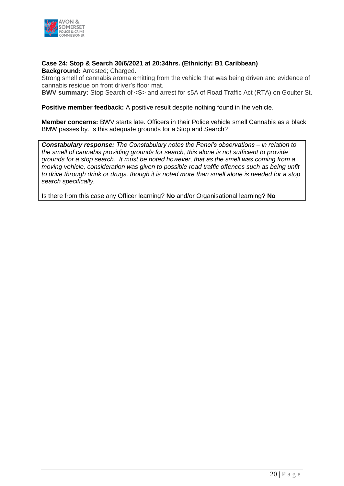

#### **Case 24: Stop & Search 30/6/2021 at 20:34hrs. (Ethnicity: B1 Caribbean) Background:** Arrested; Charged.

Strong smell of cannabis aroma emitting from the vehicle that was being driven and evidence of cannabis residue on front driver's floor mat.

**BWV summary:** Stop Search of <S> and arrest for s5A of Road Traffic Act (RTA) on Goulter St.

**Positive member feedback:** A positive result despite nothing found in the vehicle.

**Member concerns:** BWV starts late. Officers in their Police vehicle smell Cannabis as a black BMW passes by. Is this adequate grounds for a Stop and Search?

*Constabulary response: The Constabulary notes the Panel's observations – in relation to the smell of cannabis providing grounds for search, this alone is not sufficient to provide grounds for a stop search. It must be noted however, that as the smell was coming from a moving vehicle, consideration was given to possible road traffic offences such as being unfit to drive through drink or drugs, though it is noted more than smell alone is needed for a stop search specifically.*

Is there from this case any Officer learning? **No** and/or Organisational learning? **No**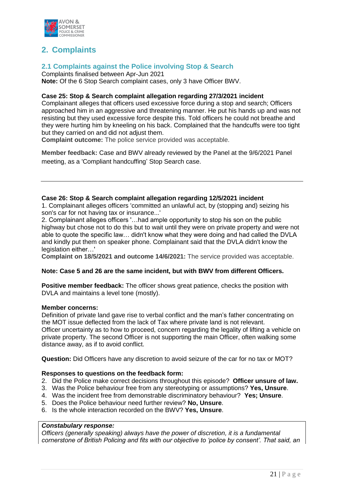

# **2. Complaints**

### **2.1 Complaints against the Police involving Stop & Search**

Complaints finalised between Apr-Jun 2021 **Note:** Of the 6 Stop Search complaint cases, only 3 have Officer BWV.

#### **Case 25: Stop & Search complaint allegation regarding 27/3/2021 incident**

Complainant alleges that officers used excessive force during a stop and search; Officers approached him in an aggressive and threatening manner. He put his hands up and was not resisting but they used excessive force despite this. Told officers he could not breathe and they were hurting him by kneeling on his back. Complained that the handcuffs were too tight but they carried on and did not adjust them.

**Complaint outcome:** The police service provided was acceptable.

**Member feedback:** Case and BWV already reviewed by the Panel at the 9/6/2021 Panel meeting, as a 'Compliant handcuffing' Stop Search case.

#### **Case 26: Stop & Search complaint allegation regarding 12/5/2021 incident**

1. Complainant alleges officers 'committed an unlawful act, by (stopping and) seizing his son's car for not having tax or insurance...'

2. Complainant alleges officers '…had ample opportunity to stop his son on the public highway but chose not to do this but to wait until they were on private property and were not able to quote the specific law… didn't know what they were doing and had called the DVLA and kindly put them on speaker phone. Complainant said that the DVLA didn't know the legislation either...'

**Complaint on 18/5/2021 and outcome 14/6/2021:** The service provided was acceptable.

#### **Note: Case 5 and 26 are the same incident, but with BWV from different Officers.**

**Positive member feedback:** The officer shows great patience, checks the position with DVLA and maintains a level tone (mostly).

#### **Member concerns:**

Definition of private land gave rise to verbal conflict and the man's father concentrating on the MOT issue deflected from the lack of Tax where private land is not relevant. Officer uncertainty as to how to proceed, concern regarding the legality of lifting a vehicle on private property. The second Officer is not supporting the main Officer, often walking some distance away, as if to avoid conflict.

**Question:** Did Officers have any discretion to avoid seizure of the car for no tax or MOT?

#### **Responses to questions on the feedback form:**

- 2. Did the Police make correct decisions throughout this episode? **Officer unsure of law.**
- 3. Was the Police behaviour free from any stereotyping or assumptions? **Yes, Unsure**.
- 4. Was the incident free from demonstrable discriminatory behaviour? **Yes; Unsure**.
- 5. Does the Police behaviour need further review? **No, Unsure**.
- 6. Is the whole interaction recorded on the BWV? **Yes, Unsure**.

#### *Constabulary response:*

*Officers (generally speaking) always have the power of discretion, it is a fundamental cornerstone of British Policing and fits with our objective to 'police by consent'. That said, an*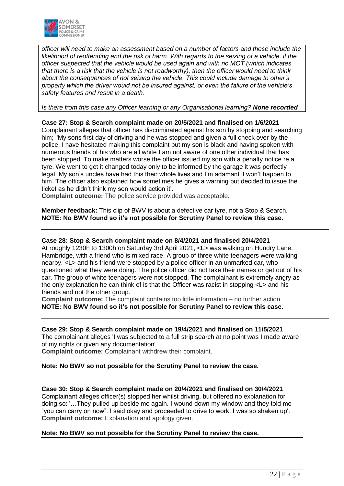

*officer will need to make an assessment based on a number of factors and these include the likelihood of reoffending and the risk of harm. With regards to the seizing of a vehicle, if the officer suspected that the vehicle would be used again and with no MOT (which indicates that there is a risk that the vehicle is not roadworthy), then the officer would need to think about the consequences of not seizing the vehicle. This could include damage to other's property which the driver would not be insured against, or even the failure of the vehicle's safety features and result in a death.* 

*Is there from this case any Officer learning or any Organisational learning? None recorded*

**Case 27: Stop & Search complaint made on 20/5/2021 and finalised on 1/6/2021** Complainant alleges that officer has discriminated against his son by stopping and searching him; ''My sons first day of driving and he was stopped and given a full check over by the police. I have hesitated making this complaint but my son is black and having spoken with numerous friends of his who are all white I am not aware of one other individual that has been stopped. To make matters worse the officer issued my son with a penalty notice re a tyre. We went to get it changed today only to be informed by the garage it was perfectly legal. My son's uncles have had this their whole lives and I'm adamant it won't happen to him. The officer also explained how sometimes he gives a warning but decided to issue the ticket as he didn't think my son would action it'.

**Complaint outcome:** The police service provided was acceptable.

**Member feedback:** This clip of BWV is about a defective car tyre, not a Stop & Search. **NOTE: No BWV found so it's not possible for Scrutiny Panel to review this case.** 

#### **Case 28: Stop & Search complaint made on 8/4/2021 and finalised 20/4/2021**

At roughly 1230h to 1300h on Saturday 3rd April 2021, <L> was walking on Hundry Lane, Hambridge, with a friend who is mixed race. A group of three white teenagers were walking nearby. <L> and his friend were stopped by a police officer in an unmarked car, who questioned what they were doing. The police officer did not take their names or get out of his car. The group of white teenagers were not stopped. The complainant is extremely angry as the only explanation he can think of is that the Officer was racist in stopping <L> and his friends and not the other group.

**Complaint outcome:** The complaint contains too little information – no further action. **NOTE: No BWV found so it's not possible for Scrutiny Panel to review this case.**

#### **Case 29: Stop & Search complaint made on 19/4/2021 and finalised on 11/5/2021**

The complainant alleges 'I was subjected to a full strip search at no point was I made aware of my rights or given any documentation'.

**Complaint outcome:** Complainant withdrew their complaint.

#### **Note: No BWV so not possible for the Scrutiny Panel to review the case.**

#### **Case 30: Stop & Search complaint made on 20/4/2021 and finalised on 30/4/2021**

Complainant alleges officer(s) stopped her whilst driving, but offered no explanation for doing so: '…They pulled up beside me again. I wound down my window and they told me "you can carry on now". I said okay and proceeded to drive to work. I was so shaken up'. **Complaint outcome:** Explanation and apology given.

#### **Note: No BWV so not possible for the Scrutiny Panel to review the case.**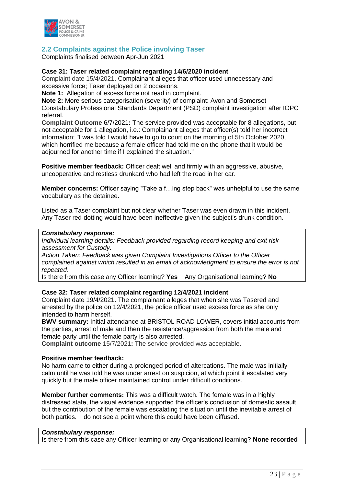

### **2.2 Complaints against the Police involving Taser**

Complaints finalised between Apr-Jun 2021

#### **Case 31: Taser related complaint regarding 14/6/2020 incident**

Complaint date 15/4/2021**.** Complainant alleges that officer used unnecessary and excessive force; Taser deployed on 2 occasions.

**Note 1:** Allegation of excess force not read in complaint.

**Note 2:** More serious categorisation (severity) of complaint: Avon and Somerset Constabulary Professional Standards Department (PSD) complaint investigation after IOPC referral.

**Complaint Outcome** 6/7/2021**:** The service provided was acceptable for 8 allegations, but not acceptable for 1 allegation, i.e.: Complainant alleges that officer(s) told her incorrect information; "I was told I would have to go to court on the morning of 5th October 2020, which horrified me because a female officer had told me on the phone that it would be adjourned for another time if I explained the situation."

**Positive member feedback:** Officer dealt well and firmly with an aggressive, abusive, uncooperative and restless drunkard who had left the road in her car.

**Member concerns:** Officer saying "Take a f…ing step back" was unhelpful to use the same vocabulary as the detainee.

Listed as a Taser complaint but not clear whether Taser was even drawn in this incident. Any Taser red-dotting would have been ineffective given the subject's drunk condition.

#### *Constabulary response:*

*Individual learning details: Feedback provided regarding record keeping and exit risk assessment for Custody.*

*Action Taken: Feedback was given Complaint Investigations Officer to the Officer complained against which resulted in an email of acknowledgment to ensure the error is not repeated.*

Is there from this case any Officer learning? **Yes** Any Organisational learning? **No**

#### **Case 32: Taser related complaint regarding 12/4/2021 incident**

Complaint date 19/4/2021. The complainant alleges that when she was Tasered and arrested by the police on 12/4/2021, the police officer used excess force as she only intended to harm herself.

**BWV summary:** Initial attendance at BRISTOL ROAD LOWER, covers initial accounts from the parties, arrest of male and then the resistance/aggression from both the male and female party until the female party is also arrested.

**Complaint outcome** 15/7/2021**:** The service provided was acceptable.

#### **Positive member feedback:**

No harm came to either during a prolonged period of altercations. The male was initially calm until he was told he was under arrest on suspicion, at which point it escalated very quickly but the male officer maintained control under difficult conditions.

**Member further comments:** This was a difficult watch. The female was in a highly distressed state, the visual evidence supported the officer's conclusion of domestic assault, but the contribution of the female was escalating the situation until the inevitable arrest of both parties. I do not see a point where this could have been diffused.

#### *Constabulary response:*

Is there from this case any Officer learning or any Organisational learning? **None recorded**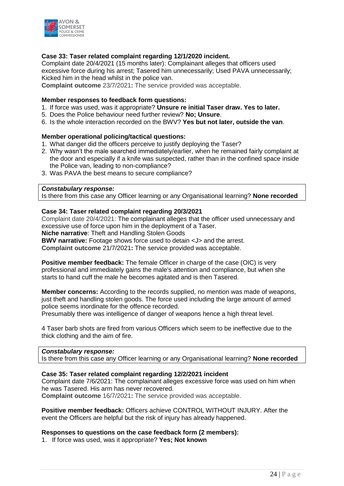

#### **Case 33: Taser related complaint regarding 12/1/2020 incident.**

Complaint date 20/4/2021 (15 months later): Complainant alleges that officers used excessive force during his arrest; Tasered him unnecessarily; Used PAVA unnecessarily; Kicked him in the head whilst in the police van.

**Complaint outcome** 23/7/2021**:** The service provided was acceptable.

#### **Member responses to feedback form questions:**

- 1. If force was used, was it appropriate? **Unsure re initial Taser draw. Yes to later.**
- 5. Does the Police behaviour need further review? **No; Unsure**.
- 6. Is the whole interaction recorded on the BWV? **Yes but not later, outside the van**.

#### **Member operational policing/tactical questions:**

- 1. What danger did the officers perceive to justify deploying the Taser?
- 2. Why wasn't the male searched immediately/earlier, when he remained fairly complaint at the door and especially if a knife was suspected, rather than in the confined space inside the Police van, leading to non-compliance?
- 3. Was PAVA the best means to secure compliance?

#### *Constabulary response:*

Is there from this case any Officer learning or any Organisational learning? **None recorded**

#### **Case 34: Taser related complaint regarding 20/3/2021**

Complaint date 20/4/2021: The complainant alleges that the officer used unnecessary and excessive use of force upon him in the deployment of a Taser.

**Niche narrative**: Theft and Handling Stolen Goods

**BWV narrative:** Footage shows force used to detain <J> and the arrest.

**Complaint outcome** 21/7/2021**:** The service provided was acceptable.

**Positive member feedback:** The female Officer in charge of the case (OIC) is very professional and immediately gains the male's attention and compliance, but when she starts to hand cuff the male he becomes agitated and is then Tasered.

**Member concerns:** According to the records supplied, no mention was made of weapons, just theft and handling stolen goods. The force used including the large amount of armed police seems inordinate for the offence recorded.

Presumably there was intelligence of danger of weapons hence a high threat level.

4 Taser barb shots are fired from various Officers which seem to be ineffective due to the thick clothing and the aim of fire.

#### *Constabulary response:*

Is there from this case any Officer learning or any Organisational learning? **None recorded**

#### **Case 35: Taser related complaint regarding 12/2/2021 incident**

Complaint date 7/6/2021: The complainant alleges excessive force was used on him when he was Tasered. His arm has never recovered. **Complaint outcome** 16/7/2021**:** The service provided was acceptable.

**Positive member feedback:** Officers achieve CONTROL WITHOUT INJURY. After the event the Officers are helpful but the risk of injury has already happened.

#### **Responses to questions on the case feedback form (2 members):**

1. If force was used, was it appropriate? **Yes; Not known**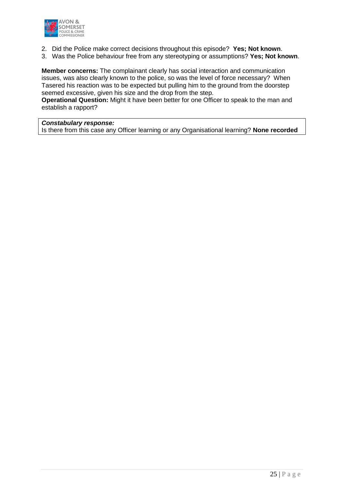

- 2. Did the Police make correct decisions throughout this episode? **Yes; Not known**.
- 3. Was the Police behaviour free from any stereotyping or assumptions? **Yes; Not known**.

**Member concerns:** The complainant clearly has social interaction and communication issues, was also clearly known to the police, so was the level of force necessary? When Tasered his reaction was to be expected but pulling him to the ground from the doorstep seemed excessive, given his size and the drop from the step.

**Operational Question:** Might it have been better for one Officer to speak to the man and establish a rapport?

### *Constabulary response:*

Is there from this case any Officer learning or any Organisational learning? **None recorded**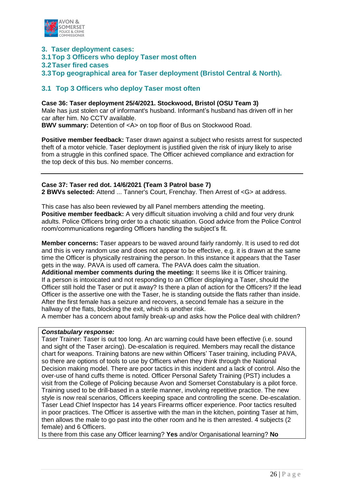

- **3. Taser deployment cases:**
- **3.1Top 3 Officers who deploy Taser most often**
- **3.2Taser fired cases**
- **3.3Top geographical area for Taser deployment (Bristol Central & North).**

### **3.1 Top 3 Officers who deploy Taser most often**

**Case 36: Taser deployment 25/4/2021. Stockwood, Bristol (OSU Team 3)** Male has just stolen car of informant's husband. Informant's husband has driven off in her car after him. No CCTV available. **BWV summary:** Detention of <A> on top floor of Bus on Stockwood Road.

**Positive member feedback:** Taser drawn against a subject who resists arrest for suspected theft of a motor vehicle. Taser deployment is justified given the risk of injury likely to arise from a struggle in this confined space. The Officer achieved compliance and extraction for the top deck of this bus. No member concerns.

#### **Case 37: Taser red dot. 14/6/2021 (Team 3 Patrol base 7)**

**2 BWVs selected:** Attend ... Tanner's Court, Frenchay. Then Arrest of <G> at address.

This case has also been reviewed by all Panel members attending the meeting. **Positive member feedback:** A very difficult situation involving a child and four very drunk adults. Police Officers bring order to a chaotic situation. Good advice from the Police Control room/communications regarding Officers handling the subject's fit.

**Member concerns:** Taser appears to be waved around fairly randomly. It is used to red dot and this is very random use and does not appear to be effective, e.g. it is drawn at the same time the Officer is physically restraining the person. In this instance it appears that the Taser gets in the way. PAVA is used off camera. The PAVA does calm the situation.

**Additional member comments during the meeting:** It seems like it is Officer training. If a person is intoxicated and not responding to an Officer displaying a Taser, should the Officer still hold the Taser or put it away? Is there a plan of action for the Officers? If the lead Officer is the assertive one with the Taser, he is standing outside the flats rather than inside. After the first female has a seizure and recovers, a second female has a seizure in the hallway of the flats, blocking the exit, which is another risk.

A member has a concern about family break-up and asks how the Police deal with children?

#### *Constabulary response:*

Taser Trainer: Taser is out too long. An arc warning could have been effective (i.e. sound and sight of the Taser arcing). De-escalation is required. Members may recall the distance chart for weapons. Training batons are new within Officers' Taser training, including PAVA, so there are options of tools to use by Officers when they think through the National Decision making model. There are poor tactics in this incident and a lack of control. Also the over-use of hand cuffs theme is noted. Officer Personal Safety Training (PST) includes a visit from the College of Policing because Avon and Somerset Constabulary is a pilot force. Training used to be drill-based in a sterile manner, involving repetitive practice. The new style is now real scenarios, Officers keeping space and controlling the scene. De-escalation. Taser Lead Chief Inspector has 14 years Firearms officer experience. Poor tactics resulted in poor practices. The Officer is assertive with the man in the kitchen, pointing Taser at him, then allows the male to go past into the other room and he is then arrested. 4 subjects (2 female) and 6 Officers.

Is there from this case any Officer learning? **Yes** and/or Organisational learning? **No**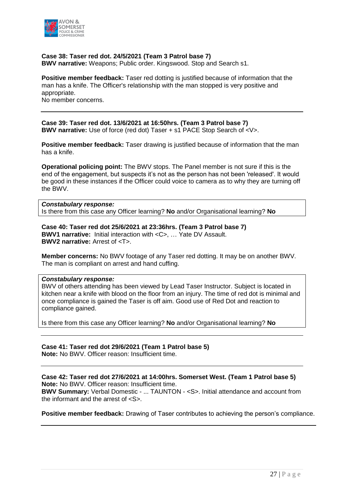

#### **Case 38: Taser red dot. 24/5/2021 (Team 3 Patrol base 7)**

**BWV narrative:** Weapons; Public order. Kingswood. Stop and Search s1.

**Positive member feedback:** Taser red dotting is justified because of information that the man has a knife. The Officer's relationship with the man stopped is very positive and appropriate. No member concerns.

**Case 39: Taser red dot. 13/6/2021 at 16:50hrs. (Team 3 Patrol base 7) BWV narrative:** Use of force (red dot) Taser + s1 PACE Stop Search of <V>.

**Positive member feedback:** Taser drawing is justified because of information that the man has a knife.

**Operational policing point:** The BWV stops. The Panel member is not sure if this is the end of the engagement, but suspects it's not as the person has not been 'released'. It would be good in these instances if the Officer could voice to camera as to why they are turning off the BWV.

#### *Constabulary response:*

Is there from this case any Officer learning? **No** and/or Organisational learning? **No**

**Case 40: Taser red dot 25/6/2021 at 23:36hrs. (Team 3 Patrol base 7) BWV1 narrative:** Initial interaction with <C>, … Yate DV Assault. **BWV2 narrative:** Arrest of <T>.

**Member concerns:** No BWV footage of any Taser red dotting. It may be on another BWV. The man is compliant on arrest and hand cuffing.

#### *Constabulary response:*

BWV of others attending has been viewed by Lead Taser Instructor. Subject is located in kitchen near a knife with blood on the floor from an injury. The time of red dot is minimal and once compliance is gained the Taser is off aim. Good use of Red Dot and reaction to compliance gained.

Is there from this case any Officer learning? **No** and/or Organisational learning? **No**

#### **Case 41: Taser red dot 29/6/2021 (Team 1 Patrol base 5)**

**Note:** No BWV. Officer reason: Insufficient time.

#### **Case 42: Taser red dot 27/6/2021 at 14:00hrs. Somerset West. (Team 1 Patrol base 5) Note:** No BWV. Officer reason: Insufficient time.

**BWV Summary:** Verbal Domestic - ... TAUNTON - <S>. Initial attendance and account from the informant and the arrest of <S>.

**Positive member feedback:** Drawing of Taser contributes to achieving the person's compliance.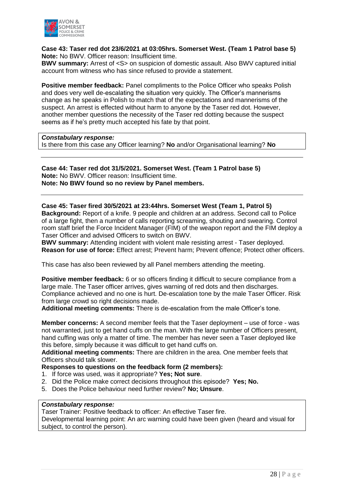

#### **Case 43: Taser red dot 23/6/2021 at 03:05hrs. Somerset West. (Team 1 Patrol base 5) Note:** No BWV. Officer reason: Insufficient time.

**BWV summary:** Arrest of <S> on suspicion of domestic assault. Also BWV captured initial account from witness who has since refused to provide a statement.

**Positive member feedback:** Panel compliments to the Police Officer who speaks Polish and does very well de-escalating the situation very quickly. The Officer's mannerisms change as he speaks in Polish to match that of the expectations and mannerisms of the suspect. An arrest is effected without harm to anyone by the Taser red dot. However, another member questions the necessity of the Taser red dotting because the suspect seems as if he's pretty much accepted his fate by that point.

#### *Constabulary response:*

Is there from this case any Officer learning? **No** and/or Organisational learning? **No**

#### **Case 44: Taser red dot 31/5/2021. Somerset West. (Team 1 Patrol base 5) Note:** No BWV. Officer reason: Insufficient time. **Note: No BWV found so no review by Panel members.**

**Case 45: Taser fired 30/5/2021 at 23:44hrs. Somerset West (Team 1, Patrol 5) Background:** Report of a knife. 9 people and children at an address. Second call to Police of a large fight, then a number of calls reporting screaming, shouting and swearing. Control room staff brief the Force Incident Manager (FIM) of the weapon report and the FIM deploy a Taser Officer and advised Officers to switch on BWV.

**BWV summary:** Attending incident with violent male resisting arrest - Taser deployed. **Reason for use of force:** Effect arrest; Prevent harm; Prevent offence; Protect other officers.

This case has also been reviewed by all Panel members attending the meeting.

**Positive member feedback:** 6 or so officers finding it difficult to secure compliance from a large male. The Taser officer arrives, gives warning of red dots and then discharges. Compliance achieved and no one is hurt. De-escalation tone by the male Taser Officer. Risk from large crowd so right decisions made.

**Additional meeting comments:** There is de-escalation from the male Officer's tone.

**Member concerns:** A second member feels that the Taser deployment – use of force - was not warranted, just to get hand cuffs on the man. With the large number of Officers present, hand cuffing was only a matter of time. The member has never seen a Taser deployed like this before, simply because it was difficult to get hand cuffs on.

**Additional meeting comments:** There are children in the area. One member feels that Officers should talk slower.

#### **Responses to questions on the feedback form (2 members):**

- 1. If force was used, was it appropriate? **Yes; Not sure**.
- 2. Did the Police make correct decisions throughout this episode? **Yes; No.**
- 5. Does the Police behaviour need further review? **No; Unsure**.

#### *Constabulary response:*

Taser Trainer: Positive feedback to officer: An effective Taser fire.

Developmental learning point: An arc warning could have been given (heard and visual for subject, to control the person).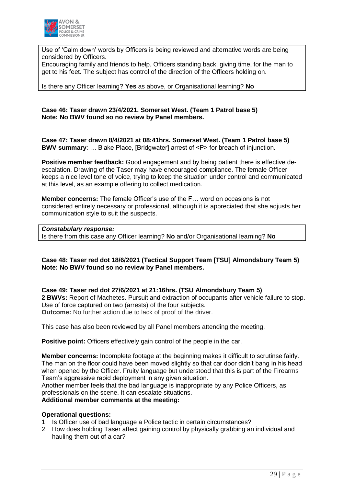

Use of 'Calm down' words by Officers is being reviewed and alternative words are being considered by Officers.

Encouraging family and friends to help. Officers standing back, giving time, for the man to get to his feet. The subject has control of the direction of the Officers holding on.

Is there any Officer learning? **Yes** as above, or Organisational learning? **No**

**Case 46: Taser drawn 23/4/2021. Somerset West. (Team 1 Patrol base 5) Note: No BWV found so no review by Panel members.**

**Case 47: Taser drawn 8/4/2021 at 08:41hrs. Somerset West. (Team 1 Patrol base 5) BWV summary:** ... Blake Place, [Bridgwater] arrest of <P> for breach of injunction.

**Positive member feedback:** Good engagement and by being patient there is effective deescalation. Drawing of the Taser may have encouraged compliance. The female Officer keeps a nice level tone of voice, trying to keep the situation under control and communicated at this level, as an example offering to collect medication.

**Member concerns:** The female Officer's use of the F… word on occasions is not considered entirely necessary or professional, although it is appreciated that she adjusts her communication style to suit the suspects.

#### *Constabulary response:*

Is there from this case any Officer learning? **No** and/or Organisational learning? **No**

#### **Case 48: Taser red dot 18/6/2021 (Tactical Support Team [TSU] Almondsbury Team 5) Note: No BWV found so no review by Panel members.**

#### **Case 49: Taser red dot 27/6/2021 at 21:16hrs. (TSU Almondsbury Team 5)**

**2 BWVs:** Report of Machetes. Pursuit and extraction of occupants after vehicle failure to stop. Use of force captured on two (arrests) of the four subjects. **Outcome:** No further action due to lack of proof of the driver.

This case has also been reviewed by all Panel members attending the meeting.

**Positive point:** Officers effectively gain control of the people in the car.

**Member concerns:** Incomplete footage at the beginning makes it difficult to scrutinse fairly. The man on the floor could have been moved slightly so that car door didn't bang in his head when opened by the Officer. Fruity language but understood that this is part of the Firearms Team's aggressive rapid deployment in any given situation.

Another member feels that the bad language is inappropriate by any Police Officers, as professionals on the scene. It can escalate situations.

#### **Additional member comments at the meeting:**

#### **Operational questions:**

- 1. Is Officer use of bad language a Police tactic in certain circumstances?
- 2. How does holding Taser affect gaining control by physically grabbing an individual and hauling them out of a car?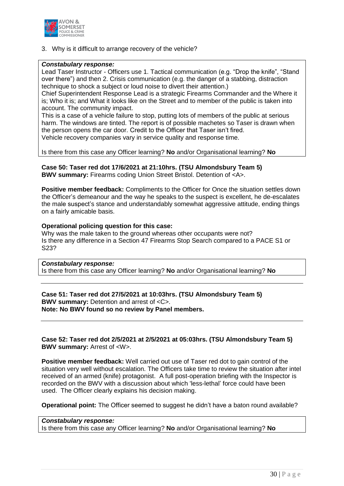

3. Why is it difficult to arrange recovery of the vehicle?

#### *Constabulary response:*

Lead Taser Instructor - Officers use 1. Tactical communication (e.g. "Drop the knife", "Stand over there") and then 2. Crisis communication (e.g. the danger of a stabbing, distraction technique to shock a subject or loud noise to divert their attention.)

Chief Superintendent Response Lead is a strategic Firearms Commander and the Where it is; Who it is; and What it looks like on the Street and to member of the public is taken into account. The community impact.

This is a case of a vehicle failure to stop, putting lots of members of the public at serious harm. The windows are tinted. The report is of possible machetes so Taser is drawn when the person opens the car door. Credit to the Officer that Taser isn't fired. Vehicle recovery companies vary in service quality and response time.

Is there from this case any Officer learning? **No** and/or Organisational learning? **No**

**Case 50: Taser red dot 17/6/2021 at 21:10hrs. (TSU Almondsbury Team 5) BWV summary:** Firearms coding Union Street Bristol. Detention of <A>.

**Positive member feedback:** Compliments to the Officer for Once the situation settles down the Officer's demeanour and the way he speaks to the suspect is excellent, he de-escalates the male suspect's stance and understandably somewhat aggressive attitude, ending things on a fairly amicable basis.

#### **Operational policing question for this case:**

Why was the male taken to the ground whereas other occupants were not? Is there any difference in a Section 47 Firearms Stop Search compared to a PACE S1 or S23?

#### *Constabulary response:*

Is there from this case any Officer learning? **No** and/or Organisational learning? **No**

#### **Case 51: Taser red dot 27/5/2021 at 10:03hrs. (TSU Almondsbury Team 5) BWV summary:** Detention and arrest of <C>. **Note: No BWV found so no review by Panel members.**

#### **Case 52: Taser red dot 2/5/2021 at 2/5/2021 at 05:03hrs. (TSU Almondsbury Team 5) BWV summary:** Arrest of <W>.

**Positive member feedback:** Well carried out use of Taser red dot to gain control of the situation very well without escalation. The Officers take time to review the situation after intel received of an armed (knife) protagonist. A full post-operation briefing with the Inspector is recorded on the BWV with a discussion about which 'less-lethal' force could have been used. The Officer clearly explains his decision making.

**Operational point:** The Officer seemed to suggest he didn't have a baton round available?

#### *Constabulary response:*

Is there from this case any Officer learning? **No** and/or Organisational learning? **No**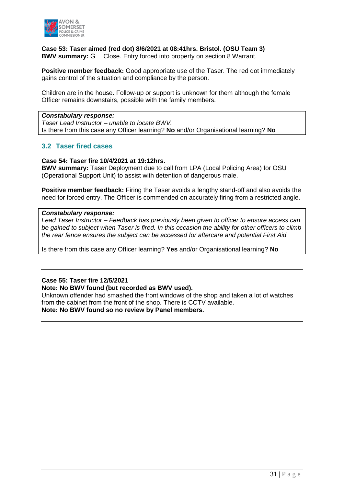

**Case 53: Taser aimed (red dot) 8/6/2021 at 08:41hrs. Bristol. (OSU Team 3) BWV summary:** G… Close. Entry forced into property on section 8 Warrant.

**Positive member feedback:** Good appropriate use of the Taser. The red dot immediately gains control of the situation and compliance by the person.

Children are in the house. Follow-up or support is unknown for them although the female Officer remains downstairs, possible with the family members.

#### *Constabulary response:*

*Taser Lead Instructor – unable to locate BWV.* Is there from this case any Officer learning? **No** and/or Organisational learning? **No**

#### **3.2 Taser fired cases**

#### **Case 54: Taser fire 10/4/2021 at 19:12hrs.**

**BWV summary:** Taser Deployment due to call from LPA (Local Policing Area) for OSU (Operational Support Unit) to assist with detention of dangerous male.

**Positive member feedback:** Firing the Taser avoids a lengthy stand-off and also avoids the need for forced entry. The Officer is commended on accurately firing from a restricted angle.

#### *Constabulary response:*

*Lead Taser Instructor – Feedback has previously been given to officer to ensure access can be gained to subject when Taser is fired. In this occasion the ability for other officers to climb the rear fence ensures the subject can be accessed for aftercare and potential First Aid.*

Is there from this case any Officer learning? **Yes** and/or Organisational learning? **No**

#### **Case 55: Taser fire 12/5/2021**

#### **Note: No BWV found (but recorded as BWV used).**

Unknown offender had smashed the front windows of the shop and taken a lot of watches from the cabinet from the front of the shop. There is CCTV available. **Note: No BWV found so no review by Panel members.**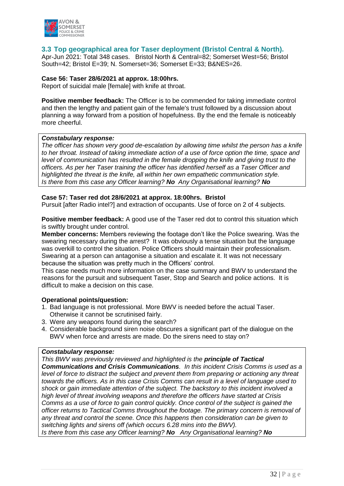

#### **3.3 Top geographical area for Taser deployment (Bristol Central & North).**

Apr-Jun 2021: Total 348 cases. Bristol North & Central=82; Somerset West=56; Bristol South=42; Bristol E=39; N. Somerset=36; Somerset E=33; B&NES=26.

#### **Case 56: Taser 28/6/2021 at approx. 18:00hrs.**

Report of suicidal male [female] with knife at throat.

**Positive member feedback:** The Officer is to be commended for taking immediate control and then the lengthy and patient gain of the female's trust followed by a discussion about planning a way forward from a position of hopefulness. By the end the female is noticeably more cheerful.

#### *Constabulary response:*

*The officer has shown very good de-escalation by allowing time whilst the person has a knife to her throat. Instead of taking immediate action of a use of force option the time, space and level of communication has resulted in the female dropping the knife and giving trust to the officers. As per her Taser training the officer has identified herself as a Taser Officer and highlighted the threat is the knife, all within her own empathetic communication style. Is there from this case any Officer learning? No Any Organisational learning? No*

#### **Case 57: Taser red dot 28/6/2021 at approx. 18:00hrs. Bristol**

Pursuit [after Radio intel?] and extraction of occupants. Use of force on 2 of 4 subjects.

**Positive member feedback:** A good use of the Taser red dot to control this situation which is swiftly brought under control.

**Member concerns:** Members reviewing the footage don't like the Police swearing. Was the swearing necessary during the arrest? It was obviously a tense situation but the language was overkill to control the situation. Police Officers should maintain their professionalism. Swearing at a person can antagonise a situation and escalate it. It was not necessary because the situation was pretty much in the Officers' control.

This case needs much more information on the case summary and BWV to understand the reasons for the pursuit and subsequent Taser, Stop and Search and police actions. It is difficult to make a decision on this case.

#### **Operational points/question:**

- 1. Bad language is not professional. More BWV is needed before the actual Taser. Otherwise it cannot be scrutinised fairly.
- 3. Were any weapons found during the search?
- 4. Considerable background siren noise obscures a significant part of the dialogue on the BWV when force and arrests are made. Do the sirens need to stay on?

#### *Constabulary response:*

*This BWV was previously reviewed and highlighted is the principle of Tactical Communications and Crisis Communications. In this incident Crisis Comms is used as a level of force to distract the subject and prevent them from preparing or actioning any threat towards the officers. As in this case Crisis Comms can result in a level of language used to shock or gain immediate attention of the subject. The backstory to this incident involved a high level of threat involving weapons and therefore the officers have started at Crisis Comms as a use of force to gain control quickly. Once control of the subject is gained the officer returns to Tactical Comms throughout the footage. The primary concern is removal of any threat and control the scene. Once this happens then consideration can be given to switching lights and sirens off (which occurs 6.28 mins into the BWV). Is there from this case any Officer learning? No Any Organisational learning? No*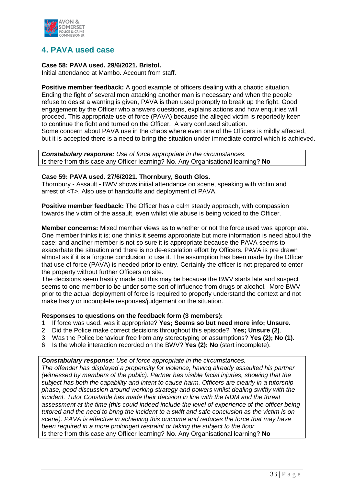

## **4. PAVA used case**

#### **Case 58: PAVA used. 29/6/2021. Bristol.**

Initial attendance at Mambo. Account from staff.

**Positive member feedback:** A good example of officers dealing with a chaotic situation. Ending the fight of several men attacking another man is necessary and when the people refuse to desist a warning is given, PAVA is then used promptly to break up the fight. Good engagement by the Officer who answers questions, explains actions and how enquiries will proceed. This appropriate use of force (PAVA) because the alleged victim is reportedly keen to continue the fight and turned on the Officer. A very confused situation. Some concern about PAVA use in the chaos where even one of the Officers is mildly affected, but it is accepted there is a need to bring the situation under immediate control which is achieved.

*Constabulary response: Use of force appropriate in the circumstances.* Is there from this case any Officer learning? **No**. Any Organisational learning? **No**

#### **Case 59: PAVA used. 27/6/2021. Thornbury, South Glos.**

Thornbury - Assault - BWV shows initial attendance on scene, speaking with victim and arrest of <T>. Also use of handcuffs and deployment of PAVA.

**Positive member feedback:** The Officer has a calm steady approach, with compassion towards the victim of the assault, even whilst vile abuse is being voiced to the Officer.

**Member concerns:** Mixed member views as to whether or not the force used was appropriate. One member thinks it is; one thinks it seems appropriate but more information is need about the case; and another member is not so sure it is appropriate because the PAVA seems to exacerbate the situation and there is no de-escalation effort by Officers. PAVA is pre drawn almost as if it is a forgone conclusion to use it. The assumption has been made by the Officer that use of force (PAVA) is needed prior to entry. Certainly the officer is not prepared to enter the property without further Officers on site.

The decisions seem hastily made but this may be because the BWV starts late and suspect seems to one member to be under some sort of influence from drugs or alcohol. More BWV prior to the actual deployment of force is required to properly understand the context and not make hasty or incomplete responses/judgement on the situation.

#### **Responses to questions on the feedback form (3 members):**

- 1. If force was used, was it appropriate? **Yes; Seems so but need more info; Unsure.**
- 2. Did the Police make correct decisions throughout this episode? **Yes; Unsure (2)**.
- 3. Was the Police behaviour free from any stereotyping or assumptions? **Yes (2); No (1)**.
- 6. Is the whole interaction recorded on the BWV? **Yes (2); No** (start incomplete).

*Constabulary response: Use of force appropriate in the circumstances.*

*The offender has displayed a propensity for violence, having already assaulted his partner (witnessed by members of the public). Partner has visible facial injuries, showing that the subject has both the capability and intent to cause harm. Officers are clearly in a tutorship phase, good discussion around working strategy and powers whilst dealing swiftly with the incident. Tutor Constable has made their decision in line with the NDM and the threat assessment at the time (this could indeed include the level of experience of the officer being tutored and the need to bring the incident to a swift and safe conclusion as the victim is on scene). PAVA is effective in achieving this outcome and reduces the force that may have been required in a more prolonged restraint or taking the subject to the floor.* Is there from this case any Officer learning? **No**. Any Organisational learning? **No**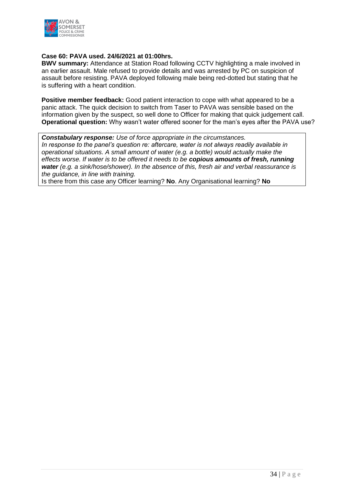

#### **Case 60: PAVA used. 24/6/2021 at 01:00hrs.**

**BWV summary:** Attendance at Station Road following CCTV highlighting a male involved in an earlier assault. Male refused to provide details and was arrested by PC on suspicion of assault before resisting. PAVA deployed following male being red-dotted but stating that he is suffering with a heart condition.

**Positive member feedback:** Good patient interaction to cope with what appeared to be a panic attack. The quick decision to switch from Taser to PAVA was sensible based on the information given by the suspect, so well done to Officer for making that quick judgement call. **Operational question:** Why wasn't water offered sooner for the man's eyes after the PAVA use?

*Constabulary response: Use of force appropriate in the circumstances. In response to the panel's question re: aftercare, water is not always readily available in operational situations. A small amount of water (e.g. a bottle) would actually make the effects worse. If water is to be offered it needs to be copious amounts of fresh, running water (e.g. a sink/hose/shower). In the absence of this, fresh air and verbal reassurance is the guidance, in line with training.* 

Is there from this case any Officer learning? **No**. Any Organisational learning? **No**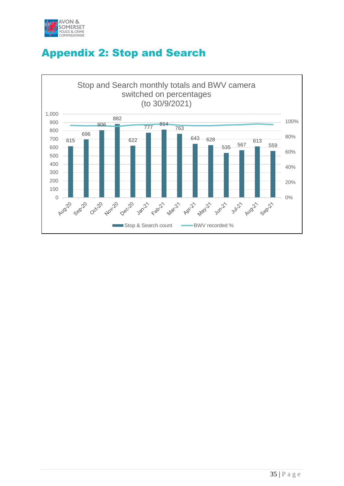

# Appendix 2: Stop and Search